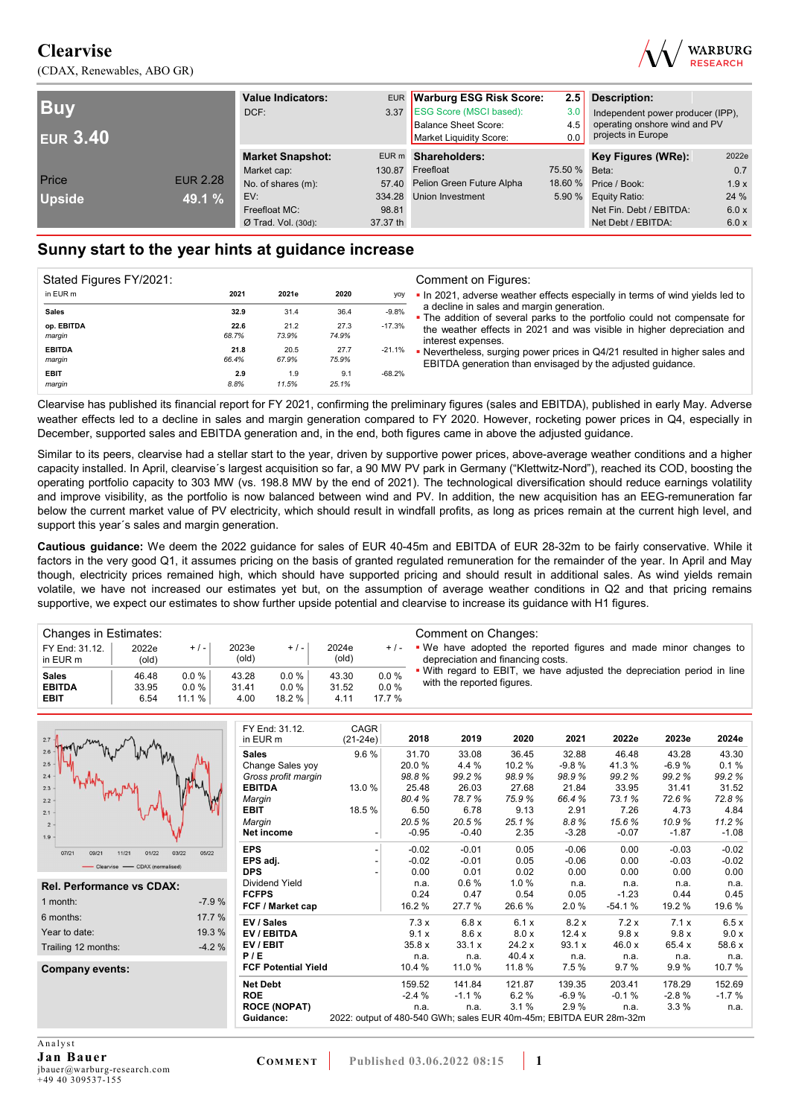(CDAX, Renewables, ABO GR)



| <b>Buy</b><br><b>EUR 3.40</b> |                 | <b>Value Indicators:</b><br>DCF: |          | EUR Warburg ESG Risk Score:<br>3.37 ESG Score (MSCI based):<br><b>Balance Sheet Score:</b><br>Market Liquidity Score: | 2.5<br>3.0<br>4.5<br>0.0 | <b>Description:</b><br>Independent power producer (IPP),<br>operating onshore wind and PV<br>projects in Europe |       |  |
|-------------------------------|-----------------|----------------------------------|----------|-----------------------------------------------------------------------------------------------------------------------|--------------------------|-----------------------------------------------------------------------------------------------------------------|-------|--|
|                               |                 | <b>Market Snapshot:</b>          |          | EUR m Shareholders:                                                                                                   |                          | Key Figures (WRe):                                                                                              | 2022e |  |
|                               |                 | Market cap:                      | 130.87   | Freefloat                                                                                                             | 75.50 % Beta:            |                                                                                                                 | 0.7   |  |
| Price                         | <b>EUR 2.28</b> | No. of shares (m):               |          | 57.40 Pelion Green Future Alpha                                                                                       |                          | 18.60 % Price / Book:                                                                                           | 1.9x  |  |
| <b>Upside</b>                 | 49.1 %          | EV:                              | 334.28   | <b>Union Investment</b>                                                                                               |                          | 5.90 % Equity Ratio:                                                                                            | 24 %  |  |
|                               |                 | Freefloat MC:                    | 98.81    |                                                                                                                       |                          | Net Fin. Debt / EBITDA:                                                                                         | 6.0 x |  |
|                               |                 | $Ø$ Trad. Vol. (30d):            | 37.37 th |                                                                                                                       |                          | Net Debt / EBITDA:                                                                                              | 6.0 x |  |

## **Sunny start to the year hints at guidance increase**

| Stated Figures FY/2021: |       |       |       |           |
|-------------------------|-------|-------|-------|-----------|
| in EUR m                | 2021  | 2021e | 2020  | yoy       |
| <b>Sales</b>            | 32.9  | 31.4  | 36.4  | $-9.8%$   |
| op. EBITDA              | 22.6  | 21.2  | 27.3  | $-17.3%$  |
| margin                  | 68.7% | 73.9% | 74.9% |           |
| <b>EBITDA</b>           | 21.8  | 20.5  | 27.7  | -21.1%    |
| margin                  | 66.4% | 67.9% | 75.9% |           |
| <b>EBIT</b>             | 2.9   | 1.9   | 9.1   | $-68.2\%$ |
| margin                  | 8.8%  | 11.5% | 25.1% |           |

Clearvise has published its financial report for FY 2021, confirming the preliminary figures (sales and EBITDA), published in early May. Adverse weather effects led to a decline in sales and margin generation compared to FY 2020. However, rocketing power prices in Q4, especially in December, supported sales and EBITDA generation and, in the end, both figures came in above the adjusted guidance.

Similar to its peers, clearvise had a stellar start to the year, driven by supportive power prices, above-average weather conditions and a higher capacity installed. In April, clearvise´s largest acquisition so far, a 90 MW PV park in Germany ("Klettwitz-Nord"), reached its COD, boosting the operating portfolio capacity to 303 MW (vs. 198.8 MW by the end of 2021). The technological diversification should reduce earnings volatility and improve visibility, as the portfolio is now balanced between wind and PV. In addition, the new acquisition has an EEG-remuneration far below the current market value of PV electricity, which should result in windfall profits, as long as prices remain at the current high level, and support this year´s sales and margin generation.

**Cautious guidance:** We deem the 2022 guidance for sales of EUR 40-45m and EBITDA of EUR 28-32m to be fairly conservative. While it factors in the very good Q1, it assumes pricing on the basis of granted regulated remuneration for the remainder of the year. In April and May though, electricity prices remained high, which should have supported pricing and should result in additional sales. As wind yields remain volatile, we have not increased our estimates yet but, on the assumption of average weather conditions in Q2 and that pricing remains supportive, we expect our estimates to show further upside potential and clearvise to increase its guidance with H1 figures.

| Changes in Estimates:         |                |                      |                         |                 |                |              | Comment on Changes:                                                                                   |
|-------------------------------|----------------|----------------------|-------------------------|-----------------|----------------|--------------|-------------------------------------------------------------------------------------------------------|
| FY End: 31.12.<br>in EUR m    | 2022e<br>(old) | $+/-$                | 2023e<br>$\text{(old)}$ | $+/-$           | 2024e<br>(old) | $+/-$        | • We have adopted the reported figures and made minor changes to<br>depreciation and financing costs. |
| <b>Sales</b><br><b>EBITDA</b> | 46.48<br>33.95 | $0.0 \%$<br>$0.0 \%$ | 43.28<br>31.41          | $0.0\%$<br>0.0% | 43.30<br>31.52 | 0.0%<br>0.0% | . With regard to EBIT, we have adjusted the depreciation period in line<br>with the reported figures. |
| <b>EBIT</b>                   | 6.54           | 11.1%                | 4.00                    | 18.2 %          | 4.11           | 17.7 %       |                                                                                                       |

| $2.7 -$                                   |         | FY End: 31.12.<br>in EUR m | <b>CAGR</b><br>$(21-24e)$                                          | 2018    | 2019    | 2020   | 2021    | 2022e    | 2023e   | 2024e   |
|-------------------------------------------|---------|----------------------------|--------------------------------------------------------------------|---------|---------|--------|---------|----------|---------|---------|
| 2.6                                       |         | <b>Sales</b>               | 9.6%                                                               | 31.70   | 33.08   | 36.45  | 32.88   | 46.48    | 43.28   | 43.30   |
| 2.5                                       |         | Change Sales yoy           |                                                                    | 20.0%   | 4.4 %   | 10.2%  | $-9.8%$ | 41.3%    | $-6.9%$ | 0.1%    |
| 2.4                                       |         | Gross profit margin        |                                                                    | 98.8%   | 99.2%   | 98.9%  | 98.9%   | 99.2%    | 99.2%   | 99.2%   |
| 2.3                                       |         | <b>EBITDA</b>              | 13.0%                                                              | 25.48   | 26.03   | 27.68  | 21.84   | 33.95    | 31.41   | 31.52   |
| 2.2                                       |         | Margin                     |                                                                    | 80.4%   | 78.7%   | 75.9%  | 66.4%   | 73.1%    | 72.6%   | 72.8%   |
| 2.1                                       |         | <b>EBIT</b>                | 18.5%                                                              | 6.50    | 6.78    | 9.13   | 2.91    | 7.26     | 4.73    | 4.84    |
| $\overline{2}$                            |         | Margin                     |                                                                    | 20.5%   | 20.5%   | 25.1%  | 8.8%    | 15.6%    | 10.9%   | 11.2%   |
| 1.9                                       |         | Net income                 |                                                                    | $-0.95$ | $-0.40$ | 2.35   | $-3.28$ | $-0.07$  | $-1.87$ | $-1.08$ |
| 03/22<br>07/21<br>09/21<br>11/21<br>01/22 | 05/22   | <b>EPS</b>                 |                                                                    | $-0.02$ | $-0.01$ | 0.05   | $-0.06$ | 0.00     | $-0.03$ | $-0.02$ |
| - CDAX (normalised)                       |         | EPS adj.                   |                                                                    | $-0.02$ | $-0.01$ | 0.05   | $-0.06$ | 0.00     | $-0.03$ | $-0.02$ |
|                                           |         | <b>DPS</b>                 |                                                                    | 0.00    | 0.01    | 0.02   | 0.00    | 0.00     | 0.00    | 0.00    |
| <b>Rel. Performance vs CDAX:</b>          |         | <b>Dividend Yield</b>      |                                                                    | n.a.    | 0.6%    | 1.0%   | n.a.    | n.a.     | n.a.    | n.a.    |
|                                           |         | <b>FCFPS</b>               |                                                                    | 0.24    | 0.47    | 0.54   | 0.05    | $-1.23$  | 0.44    | 0.45    |
| 1 month:                                  | $-7.9%$ | FCF / Market cap           |                                                                    | 16.2%   | 27.7 %  | 26.6%  | 2.0%    | $-54.1%$ | 19.2 %  | 19.6 %  |
| 6 months:                                 | 17.7 %  | EV / Sales                 |                                                                    | 7.3x    | 6.8x    | 6.1 x  | 8.2x    | 7.2x     | 7.1x    | 6.5x    |
| Year to date:                             | 19.3 %  | EV / EBITDA                |                                                                    | 9.1x    | 8.6x    | 8.0 x  | 12.4 x  | 9.8x     | 9.8x    | 9.0 x   |
| Trailing 12 months:                       | $-4.2%$ | EV / EBIT                  |                                                                    | 35.8x   | 33.1 x  | 24.2 x | 93.1 x  | 46.0 x   | 65.4 x  | 58.6 x  |
|                                           |         | P/E                        |                                                                    | n.a.    | n.a.    | 40.4x  | n.a.    | n.a.     | n.a.    | n.a.    |
| Company events:                           |         | <b>FCF Potential Yield</b> |                                                                    | 10.4 %  | 11.0 %  | 11.8 % | 7.5%    | 9.7%     | 9.9%    | 10.7%   |
|                                           |         | <b>Net Debt</b>            |                                                                    | 159.52  | 141.84  | 121.87 | 139.35  | 203.41   | 178.29  | 152.69  |
|                                           |         | <b>ROE</b>                 |                                                                    | $-2.4%$ | $-1.1%$ | 6.2%   | $-6.9%$ | $-0.1%$  | $-2.8%$ | $-1.7%$ |
|                                           |         | <b>ROCE (NOPAT)</b>        |                                                                    | n.a.    | n.a.    | 3.1%   | 2.9%    | n.a.     | 3.3%    | n.a.    |
|                                           |         | Guidance:                  | 2022: output of 480-540 GWh; sales EUR 40m-45m; EBITDA EUR 28m-32m |         |         |        |         |          |         |         |
|                                           |         |                            |                                                                    |         |         |        |         |          |         |         |
| Analyst                                   |         |                            |                                                                    |         |         |        |         |          |         |         |

**Jan Bauer**  jbauer@warburg-research.com +49 40 309537-155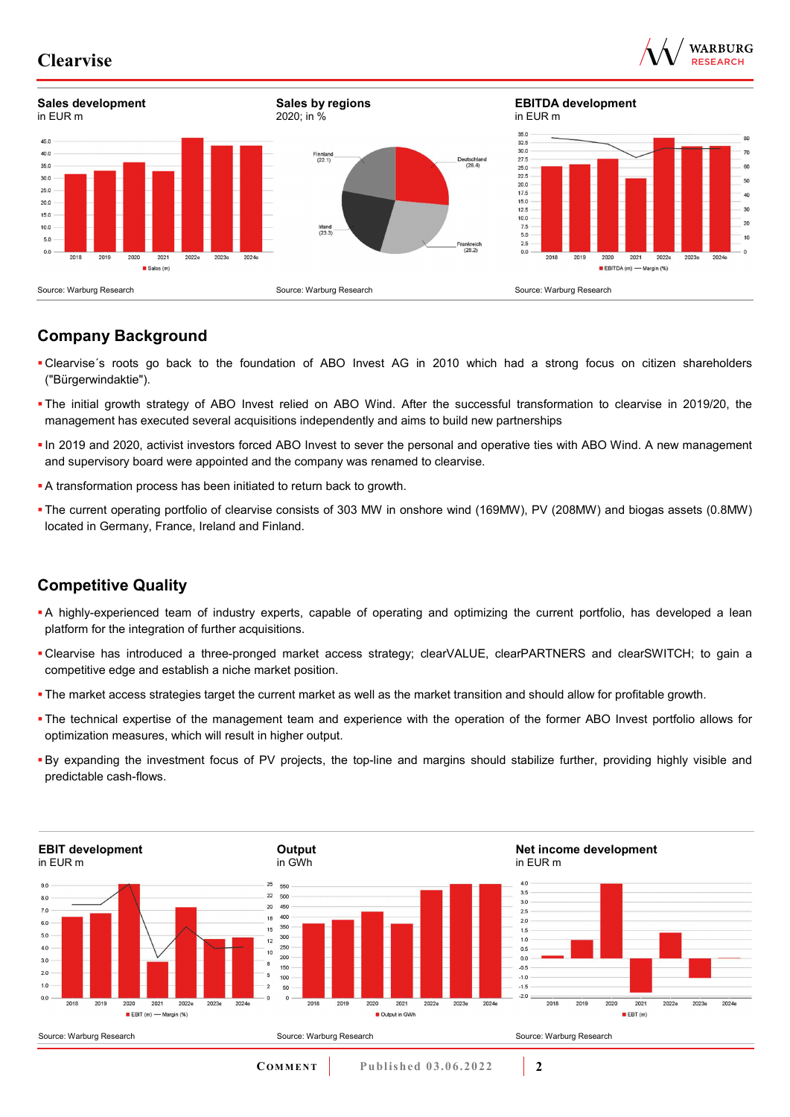



## **Company Background**

- Clearvise´s roots go back to the foundation of ABO Invest AG in 2010 which had a strong focus on citizen shareholders ("Bürgerwindaktie").
- The initial growth strategy of ABO Invest relied on ABO Wind. After the successful transformation to clearvise in 2019/20, the management has executed several acquisitions independently and aims to build new partnerships
- In 2019 and 2020, activist investors forced ABO Invest to sever the personal and operative ties with ABO Wind. A new management and supervisory board were appointed and the company was renamed to clearvise.
- A transformation process has been initiated to return back to growth.
- The current operating portfolio of clearvise consists of 303 MW in onshore wind (169MW), PV (208MW) and biogas assets (0.8MW) located in Germany, France, Ireland and Finland.

## **Competitive Quality**

- A highly-experienced team of industry experts, capable of operating and optimizing the current portfolio, has developed a lean platform for the integration of further acquisitions.
- Clearvise has introduced a three-pronged market access strategy; clearVALUE, clearPARTNERS and clearSWITCH; to gain a competitive edge and establish a niche market position.
- The market access strategies target the current market as well as the market transition and should allow for profitable growth.
- The technical expertise of the management team and experience with the operation of the former ABO Invest portfolio allows for optimization measures, which will result in higher output.
- By expanding the investment focus of PV projects, the top-line and margins should stabilize further, providing highly visible and predictable cash-flows.

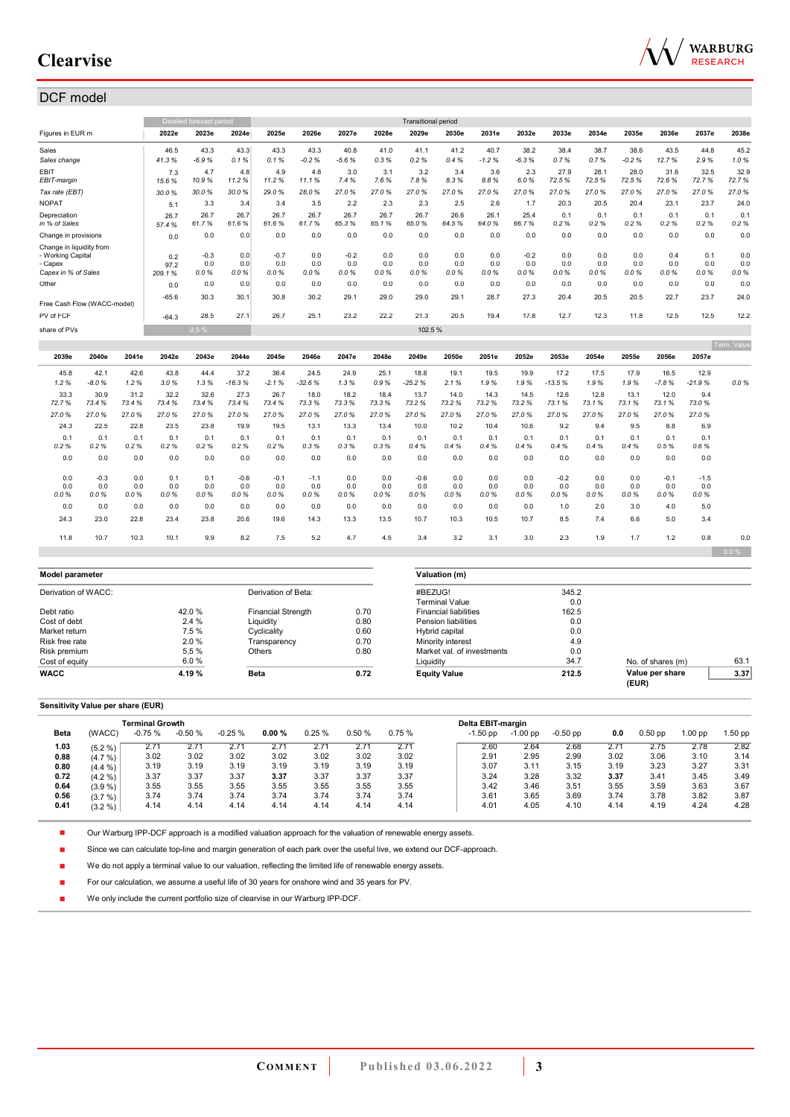

e.

## DCF model

|                                                                                 |                       |                    |                       | Detailed forecast period |                       |                       |                       |                       |                    | <b>Transitional period</b> |                    |                    |                       |                       |                    |                    |                       |                       |                    |
|---------------------------------------------------------------------------------|-----------------------|--------------------|-----------------------|--------------------------|-----------------------|-----------------------|-----------------------|-----------------------|--------------------|----------------------------|--------------------|--------------------|-----------------------|-----------------------|--------------------|--------------------|-----------------------|-----------------------|--------------------|
| Figures in EUR m                                                                |                       |                    | 2022e                 | 2023e                    | 2024e                 | 2025e                 | 2026e                 | 2027e                 | 2028e              | 2029e                      | 2030e              | 2031e              | 2032e                 | 2033e                 | 2034e              | 2035e              | 2036e                 | 2037e                 | 2038e              |
| Sales                                                                           |                       |                    | 46.5                  | 43.3                     | 43.3                  | 43.3                  | 43.3                  | 40.8                  | 41.0               | 41.1                       | 41.2               | 40.7               | 38.2                  | 38.4                  | 38.7               | 38.6               | 43.5                  | 44.8                  | 45.2               |
| Sales change                                                                    |                       |                    | 41.3%                 | $-6.9%$                  | 0.1%                  | 0.1%                  | $-0.2%$               | $-5.6%$               | 0.3%               | 0.2%                       | 0.4%               | $-1.2%$            | $-6.3%$               | 0.7%                  | 0.7%               | $-0.2%$            | 12.7%                 | 2.9%                  | 1.0%               |
| <b>EBIT</b><br>EBIT-margin                                                      |                       |                    | 7.3<br>15.6%          | 4.7<br>10.9%             | 4.8<br>11.2%          | 4.9<br>11.2%          | 4.8<br>11.1%          | 3.0<br>7.4%           | 3.1<br>7.6%        | 3.2<br>7.8%                | 3.4<br>8.3%        | 3.6<br>8.8%        | 2.3<br>6.0%           | 27.9<br>72.5%         | 28.1<br>72.5%      | 28.0<br>72.5%      | 31.6<br>72.6%         | 32.5<br>72.7%         | 32.9<br>72.7%      |
| Tax rate (EBT)                                                                  |                       |                    | 30.0%                 | 30.0%                    | 30.0%                 | 29.0%                 | 28.0%                 | 27.0%                 | 27.0%              | 27.0%                      | 27.0%              | 27.0%              | 27.0%                 | 27.0%                 | 27.0%              | 27.0%              | 27.0%                 | 27.0%                 | 27.0%              |
| <b>NOPAT</b>                                                                    |                       |                    | 5.1                   | 3.3                      | 3.4                   | 3.4                   | 3.5                   | 2.2                   | 2.3                | 2.3                        | 2.5                | 2.6                | 1.7                   | 20.3                  | 20.5               | 20.4               | 23.1                  | 23.7                  | 24.0               |
| Depreciation<br>in % of Sales                                                   |                       |                    | 26.7<br>57.4%         | 26.7<br>61.7%            | 26.7<br>61.6%         | 26.7<br>61.6%         | 26.7<br>61.7%         | 26.7<br>65.3%         | 26.7<br>65.1%      | 26.7<br>65.0%              | 26.6<br>64.5%      | 26.1<br>64.0%      | 25.4<br>66.7%         | 0.1<br>0.2%           | 0.1<br>0.2%        | 0.1<br>0.2%        | 0.1<br>0.2%           | 0.1<br>0.2%           | 0.1<br>0.2%        |
| Change in provisions                                                            |                       |                    | 0.0                   | 0.0                      | 0.0                   | 0.0                   | 0.0                   | 0.0                   | 0.0                | 0.0                        | 0.0                | 0.0                | 0.0                   | 0.0                   | 0.0                | 0.0                | 0.0                   | 0.0                   | 0.0                |
| Change in liquidity from<br>- Working Capital<br>- Capex<br>Capex in % of Sales |                       |                    | 0.2<br>97.2<br>209.1% | $-0.3$<br>0.0<br>0.0%    | 0.0<br>0.0<br>0.0%    | $-0.7$<br>0.0<br>0.0% | 0.0<br>0.0<br>0.0%    | $-0.2$<br>0.0<br>0.0% | 0.0<br>0.0<br>0.0% | 0.0<br>0.0<br>0.0%         | 0.0<br>0.0<br>0.0% | 0.0<br>0.0<br>0.0% | $-0.2$<br>0.0<br>0.0% | 0.0<br>0.0<br>0.0%    | 0.0<br>0.0<br>0.0% | 0.0<br>0.0<br>0.0% | 0.4<br>0.0<br>0.0%    | 0.1<br>0.0<br>0.0%    | 0.0<br>0.0<br>0.0% |
| Other                                                                           |                       |                    | 0.0                   | 0.0                      | 0.0                   | 0.0                   | 0.0                   | 0.0                   | 0.0                | 0.0                        | 0.0                | 0.0                | 0.0                   | 0.0                   | 0.0                | 0.0                | 0.0                   | 0.0                   | 0.0                |
| Free Cash Flow (WACC-model)                                                     |                       |                    | $-65.6$               | 30.3                     | 30.1                  | 30.8                  | 30.2                  | 29.1                  | 29.0               | 29.0                       | 29.1               | 28.7               | 27.3                  | 20.4                  | 20.5               | 20.5               | 22.7                  | 23.7                  | 24.0               |
| PV of FCF                                                                       |                       |                    | $-64.3$               | 28.5                     | 27.1                  | 26.7                  | 25.1                  | 23.2                  | 22.2               | 21.3                       | 20.5               | 19.4               | 17.8                  | 12.7                  | 12.3               | 11.8               | 12.5                  | 12.5                  | 12.2               |
| share of PVs                                                                    |                       |                    |                       | $-2.5%$                  |                       |                       |                       |                       |                    | 102.5%                     |                    |                    |                       |                       |                    |                    |                       |                       |                    |
|                                                                                 |                       |                    |                       |                          |                       |                       |                       |                       |                    |                            |                    |                    |                       |                       |                    |                    |                       |                       | Term. Value        |
| 2039e                                                                           | 2040e                 | 2041e              | 2042e                 | 2043e                    | 2044e                 | 2045e                 | 2046e                 | 2047e                 | 2048e              | 2049e                      | 2050e              | 2051e              | 2052e                 | 2053e                 | 2054e              | 2055e              | 2056e                 | 2057e                 |                    |
| 45.8<br>1.2%                                                                    | 42.1<br>$-8.0%$       | 42.6<br>1.2%       | 43.8<br>3.0%          | 44.4<br>1.3%             | 37.2<br>$-16.3%$      | 36.4<br>$-2.1%$       | 24.5<br>$-32.6%$      | 24.9<br>1.3%          | 25.1<br>0.9%       | 18.8<br>$-25.2%$           | 19.1<br>2.1%       | 19.5<br>1.9%       | 19.9<br>1.9%          | 17.2<br>$-13.5%$      | 17.5<br>1.9%       | 17.9<br>1.9%       | 16.5<br>$-7.8%$       | 12.9<br>$-21.9%$      | 0.0%               |
| 33.3<br>72.7%                                                                   | 30.9<br>73.4%         | 31.2<br>73.4%      | 32.2<br>73.4%         | 32.6<br>73.4 %           | 27.3<br>73.4%         | 26.7<br>73.4%         | 18.0<br>73.3%         | 18.2<br>73.3%         | 18.4<br>73.3%      | 13.7<br>73.2%              | 14.0<br>73.2%      | 14.3<br>73.2%      | 14.5<br>73.2%         | 12.6<br>73.1%         | 12.8<br>73.1%      | 13.1<br>73.1%      | 12.0<br>73.1%         | 9.4<br>73.0%          |                    |
| 27.0%                                                                           | 27.0%                 | 27.0%              | 27.0%                 | 27.0%                    | 27.0%                 | 27.0%                 | 27.0%                 | 27.0%                 | 27.0%              | 27.0%                      | 27.0%              | 27.0%              | 27.0%                 | 27.0%                 | 27.0%              | 27.0%              | 27.0%                 | 27.0%                 |                    |
| 24.3                                                                            | 22.5                  | 22.8               | 23.5                  | 23.8                     | 19.9                  | 19.5                  | 13.1                  | 13.3                  | 13.4               | 10.0                       | 10.2               | 10.4               | 10.6                  | 9.2                   | 9.4                | 9.5                | 8.8                   | 6.9                   |                    |
| 0.1<br>0.2%                                                                     | 0.1<br>0.2%           | 0.1<br>0.2%        | 0.1<br>0.2%           | 0.1<br>0.2%              | 0.1<br>0.2%           | 0.1<br>0.2%           | 0.1<br>0.3%           | 0.1<br>0.3%           | 0.1<br>0.3%        | 0.1<br>0.4%                | 0.1<br>0.4%        | 0.1<br>0.4%        | 0.1<br>0.4%           | 0.1<br>0.4%           | 0.1<br>0.4%        | 0.1<br>0.4%        | 0.1<br>0.5%           | 0.1<br>0.6%           |                    |
| 0.0                                                                             | 0.0                   | 0.0                | 0.0                   | 0.0                      | 0.0                   | 0.0                   | 0.0                   | 0.0                   | 0.0                | 0.0                        | 0.0                | 0.0                | 0.0                   | 0.0                   | 0.0                | 0.0                | 0.0                   | 0.0                   |                    |
| 0.0<br>0.0<br>0.0%                                                              | $-0.3$<br>0.0<br>0.0% | 0.0<br>0.0<br>0.0% | 0.1<br>0.0<br>0.0%    | 0.1<br>0.0<br>0.0%       | $-0.6$<br>0.0<br>0.0% | $-0.1$<br>0.0<br>0.0% | $-1.1$<br>0.0<br>0.0% | 0.0<br>0.0<br>0.0%    | 0.0<br>0.0<br>0.0% | $-0.6$<br>0.0<br>0.0%      | 0.0<br>0.0<br>0.0% | 0.0<br>0.0<br>0.0% | 0.0<br>0.0<br>0.0%    | $-0.2$<br>0.0<br>0.0% | 0.0<br>0.0<br>0.0% | 0.0<br>0.0<br>0.0% | $-0.1$<br>0.0<br>0.0% | $-1.5$<br>0.0<br>0.0% |                    |

| Model parameter     |        |                           |      | Valuation (m)                |       |                   |      |  |  |  |
|---------------------|--------|---------------------------|------|------------------------------|-------|-------------------|------|--|--|--|
| Derivation of WACC: |        | Derivation of Beta:       |      | #BEZUG!                      | 345.2 |                   |      |  |  |  |
|                     |        |                           |      | <b>Terminal Value</b>        | 0.0   |                   |      |  |  |  |
| Debt ratio          | 42.0%  | <b>Financial Strength</b> | 0.70 | <b>Financial liabilities</b> | 162.5 |                   |      |  |  |  |
| Cost of debt        | 2.4%   | Liquidity                 | 0.80 | Pension liabilities          | 0.0   |                   |      |  |  |  |
| Market return       | 7.5 %  | Cyclicality               | 0.60 | Hybrid capital               | 0.0   |                   |      |  |  |  |
| Risk free rate      | 2.0%   | Transparencv              | 0.70 | Minority interest            | 4.9   |                   |      |  |  |  |
| Risk premium        | 5.5 %  | Others                    | 0.80 | Market val. of investments   | 0.0   |                   |      |  |  |  |
| Cost of equity      | 6.0%   |                           |      | Liquidity                    | 34.7  | No. of shares (m) | 63.1 |  |  |  |
| <b>WACC</b>         | 4.19 % | <b>Beta</b>               | 0.72 | <b>Equity Value</b>          | 212.5 | Value per share   | 3.37 |  |  |  |
|                     |        |                           |      |                              |       | (EUR)             |      |  |  |  |

0.0 0.0 0.0 0.0 0.0 0.0 0.0 0.0 0.0 0.0 0.0 0.0 0.0 0.0 1.0 2.0 3.0 4.0 5.0 24.3 23.0 22.8 23.4 23.8 20.6 19.6 14.3 13.3 13.5 10.7 10.3 10.5 10.7 8.5 7.4 6.6 5.0 3.4

11.8 10.7 10.3 10.1 9.9 8.2 7.5 5.2 4.7 4.5 3.4 3.2 3.1 3.0 2.3 1.9 1.7 1.2 0.8 0.0

#### **Sensitivity Value per share (EUR)**

|             |            | Terminal Growth |          |          |       |       |       |       | Delta EBIT-margin |            |            |      |           |           |         |
|-------------|------------|-----------------|----------|----------|-------|-------|-------|-------|-------------------|------------|------------|------|-----------|-----------|---------|
| <b>Beta</b> | (WACC)     | $-0.75%$        | $-0.50%$ | $-0.25%$ | 0.00% | 0.25% | 0.50% | 0.75% | $-1.50$ pp        | $-1.00$ pp | $-0.50$ pp | 0.0  | $0.50$ pp | $1.00$ pp | 1.50 pp |
| 1.03        | $(5.2\% )$ | 2.71            | 2.71     | 2.71     | 2.71  | 2.71  | 2.71  | 2.71  | 2.60              | 2.64       | 2.68       | 2.71 | 2.75      | 2.78      | 2.82    |
| 0.88        | $(4.7\% )$ | 3.02            | 3.02     | 3.02     | 3.02  | 3.02  | 3.02  | 3.02  | 2.91              | 2.95       | 2.99       | 3.02 | 3.06      | 3.10      | 3.14    |
| 0.80        | $(4.4\% )$ | 3.19            | 3.19     | 3.19     | 3.19  | 3.19  | 3.19  | 3.19  | 3.07              | 3.11       | 3.15       | 3.19 | 3.23      | 3.27      | 3.31    |
| 0.72        | $(4.2\% )$ | 3.37            | 3.37     | 3.37     | 3.37  | 3.37  | 3.37  | 3.37  | 3.24              | 3.28       | 3.32       | 3.37 | 3.41      | 3.45      | 3.49    |
| 0.64        | $(3.9\%)$  | 3.55            | 3.55     | 3.55     | 3.55  | 3.55  | 3.55  | 3.55  | 3.42              | 3.46       | 3.51       | 3.55 | 3.59      | 3.63      | 3.67    |
| 0.56        | (3.7%)     | 3.74            | 3.74     | 3.74     | 3.74  | 3.74  | 3.74  | 3.74  | 3.61              | 3.65       | 3.69       | 3.74 | 3.78      | 3.82      | 3.87    |
| 0.41        | $(3.2\% )$ | 4.14            | 4.14     | 4.14     | 4.14  | 4.14  | 4.14  | 4.14  | 4.01              | 4.05       | 4.10       | 4.14 | 4.19      | 4.24      | 4.28    |

n Our Warburg IPP-DCF approach is a modified valuation approach for the valuation of renewable energy assets.

n Since we can calculate top-line and margin generation of each park over the useful live, we extend our DCF-approach.

n We do not apply a terminal value to our valuation, reflecting the limited life of renewable energy assets.

n For our calculation, we assume a useful life of 30 years for onshore wind and 35 years for PV.

n We only include the current portfolio size of clearvise in our Warburg IPP-DCF.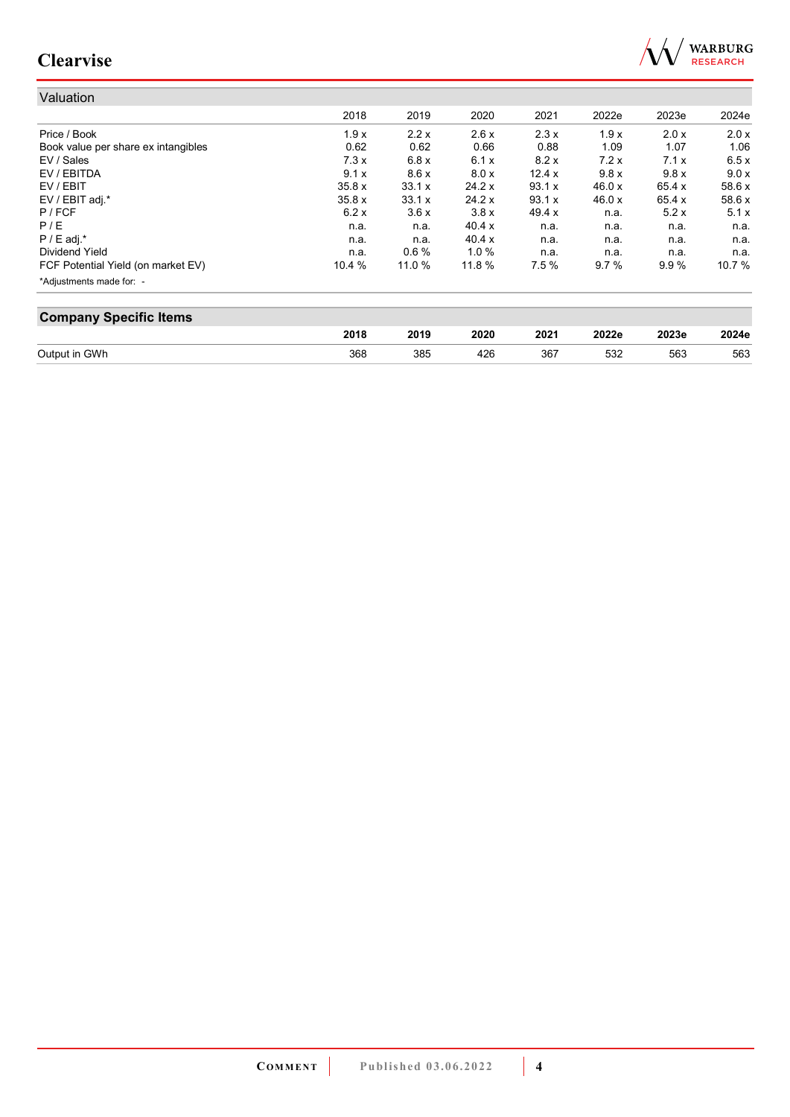

| Valuation                           |        |        |        |          |        |        |        |
|-------------------------------------|--------|--------|--------|----------|--------|--------|--------|
|                                     | 2018   | 2019   | 2020   | 2021     | 2022e  | 2023e  | 2024e  |
| Price / Book                        | 1.9x   | 2.2x   | 2.6x   | 2.3x     | 1.9x   | 2.0x   | 2.0 x  |
| Book value per share ex intangibles | 0.62   | 0.62   | 0.66   | 0.88     | 1.09   | 1.07   | 1.06   |
| EV / Sales                          | 7.3x   | 6.8x   | 6.1x   | 8.2x     | 7.2x   | 7.1x   | 6.5x   |
| EV / EBITDA                         | 9.1x   | 8.6x   | 8.0 x  | 12.4x    | 9.8x   | 9.8x   | 9.0 x  |
| EV / EBIT                           | 35.8 x | 33.1 x | 24.2 x | 93.1 x   | 46.0 x | 65.4 x | 58.6 x |
| EV / EBIT adj.*                     | 35.8x  | 33.1 x | 24.2 x | 93.1 x   | 46.0 x | 65.4 x | 58.6 x |
| P / FCF                             | 6.2x   | 3.6x   | 3.8x   | 49.4 $x$ | n.a.   | 5.2x   | 5.1x   |
| P/E                                 | n.a.   | n.a.   | 40.4 x | n.a.     | n.a.   | n.a.   | n.a.   |
| $P / E$ adj. $*$                    | n.a.   | n.a.   | 40.4 x | n.a.     | n.a.   | n.a.   | n.a.   |
| Dividend Yield                      | n.a.   | 0.6%   | 1.0%   | n.a.     | n.a.   | n.a.   | n.a.   |
| FCF Potential Yield (on market EV)  | 10.4%  | 11.0 % | 11.8 % | 7.5%     | 9.7%   | 9.9%   | 10.7 % |
| *Adjustments made for: -            |        |        |        |          |        |        |        |

| <b>Company Specific Items</b> |      |      |      |      |       |       |       |  |
|-------------------------------|------|------|------|------|-------|-------|-------|--|
|                               | 2018 | 2019 | 2020 | 2021 | 2022e | 2023e | 2024e |  |
| Output in GWh                 | 368  | 385  | 426  | 367  | 532   | 563   | 563   |  |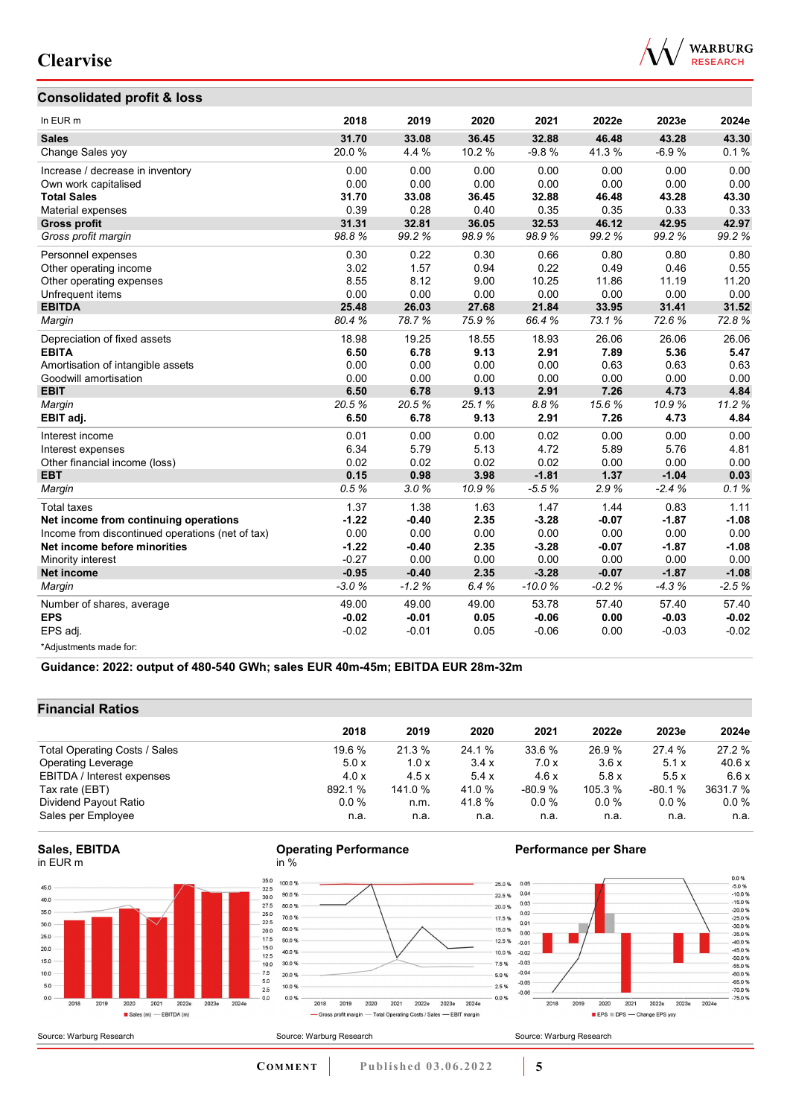## **Consolidated profit & loss**



| In EUR <sub>m</sub>                              | 2018    | 2019    | 2020   | 2021     | 2022e   | 2023e   | 2024e   |
|--------------------------------------------------|---------|---------|--------|----------|---------|---------|---------|
| <b>Sales</b>                                     | 31.70   | 33.08   | 36.45  | 32.88    | 46.48   | 43.28   | 43.30   |
| Change Sales yoy                                 | 20.0%   | 4.4 %   | 10.2 % | $-9.8%$  | 41.3%   | $-6.9%$ | 0.1%    |
| Increase / decrease in inventory                 | 0.00    | 0.00    | 0.00   | 0.00     | 0.00    | 0.00    | 0.00    |
| Own work capitalised                             | 0.00    | 0.00    | 0.00   | 0.00     | 0.00    | 0.00    | 0.00    |
| <b>Total Sales</b>                               | 31.70   | 33.08   | 36.45  | 32.88    | 46.48   | 43.28   | 43.30   |
| Material expenses                                | 0.39    | 0.28    | 0.40   | 0.35     | 0.35    | 0.33    | 0.33    |
| <b>Gross profit</b>                              | 31.31   | 32.81   | 36.05  | 32.53    | 46.12   | 42.95   | 42.97   |
| Gross profit margin                              | 98.8%   | 99.2%   | 98.9%  | 98.9%    | 99.2%   | 99.2%   | 99.2%   |
| Personnel expenses                               | 0.30    | 0.22    | 0.30   | 0.66     | 0.80    | 0.80    | 0.80    |
| Other operating income                           | 3.02    | 1.57    | 0.94   | 0.22     | 0.49    | 0.46    | 0.55    |
| Other operating expenses                         | 8.55    | 8.12    | 9.00   | 10.25    | 11.86   | 11.19   | 11.20   |
| Unfrequent items                                 | 0.00    | 0.00    | 0.00   | 0.00     | 0.00    | 0.00    | 0.00    |
| <b>EBITDA</b>                                    | 25.48   | 26.03   | 27.68  | 21.84    | 33.95   | 31.41   | 31.52   |
| Margin                                           | 80.4%   | 78.7%   | 75.9%  | 66.4%    | 73.1%   | 72.6%   | 72.8%   |
| Depreciation of fixed assets                     | 18.98   | 19.25   | 18.55  | 18.93    | 26.06   | 26.06   | 26.06   |
| <b>EBITA</b>                                     | 6.50    | 6.78    | 9.13   | 2.91     | 7.89    | 5.36    | 5.47    |
| Amortisation of intangible assets                | 0.00    | 0.00    | 0.00   | 0.00     | 0.63    | 0.63    | 0.63    |
| Goodwill amortisation                            | 0.00    | 0.00    | 0.00   | 0.00     | 0.00    | 0.00    | 0.00    |
| <b>EBIT</b>                                      | 6.50    | 6.78    | 9.13   | 2.91     | 7.26    | 4.73    | 4.84    |
| Margin                                           | 20.5%   | 20.5%   | 25.1%  | 8.8%     | 15.6%   | 10.9%   | 11.2%   |
| EBIT adj.                                        | 6.50    | 6.78    | 9.13   | 2.91     | 7.26    | 4.73    | 4.84    |
| Interest income                                  | 0.01    | 0.00    | 0.00   | 0.02     | 0.00    | 0.00    | 0.00    |
| Interest expenses                                | 6.34    | 5.79    | 5.13   | 4.72     | 5.89    | 5.76    | 4.81    |
| Other financial income (loss)                    | 0.02    | 0.02    | 0.02   | 0.02     | 0.00    | 0.00    | 0.00    |
| <b>EBT</b>                                       | 0.15    | 0.98    | 3.98   | $-1.81$  | 1.37    | $-1.04$ | 0.03    |
| Margin                                           | 0.5%    | 3.0%    | 10.9%  | $-5.5%$  | 2.9%    | $-2.4%$ | 0.1%    |
| <b>Total taxes</b>                               | 1.37    | 1.38    | 1.63   | 1.47     | 1.44    | 0.83    | 1.11    |
| Net income from continuing operations            | $-1.22$ | $-0.40$ | 2.35   | $-3.28$  | $-0.07$ | $-1.87$ | $-1.08$ |
| Income from discontinued operations (net of tax) | 0.00    | 0.00    | 0.00   | 0.00     | 0.00    | 0.00    | 0.00    |
| Net income before minorities                     | $-1.22$ | $-0.40$ | 2.35   | $-3.28$  | $-0.07$ | $-1.87$ | $-1.08$ |
| Minority interest                                | $-0.27$ | 0.00    | 0.00   | 0.00     | 0.00    | 0.00    | 0.00    |
| <b>Net income</b>                                | $-0.95$ | $-0.40$ | 2.35   | $-3.28$  | $-0.07$ | $-1.87$ | $-1.08$ |
| Margin                                           | $-3.0%$ | $-1.2%$ | 6.4%   | $-10.0%$ | $-0.2%$ | $-4.3%$ | $-2.5%$ |
| Number of shares, average                        | 49.00   | 49.00   | 49.00  | 53.78    | 57.40   | 57.40   | 57.40   |
| <b>EPS</b>                                       | $-0.02$ | $-0.01$ | 0.05   | $-0.06$  | 0.00    | $-0.03$ | $-0.02$ |
| EPS adj.                                         | $-0.02$ | $-0.01$ | 0.05   | $-0.06$  | 0.00    | $-0.03$ | $-0.02$ |
| *Adjustments made for:                           |         |         |        |          |         |         |         |

**Guidance: 2022: output of 480-540 GWh; sales EUR 40m-45m; EBITDA EUR 28m-32m**

## **Financial Ratios**

| 2018    | 2019    | 2020   | 2021     | 2022e   | 2023e    | 2024e    |
|---------|---------|--------|----------|---------|----------|----------|
| 19.6%   | 21.3%   | 24.1 % | 33.6 %   | 26.9%   | 27.4 %   | 27.2 %   |
| 5.0x    | 1.0x    | 3.4x   | 7.0x     | 3.6x    | 5.1x     | 40.6 x   |
| 4.0x    | 4.5x    | 5.4x   | 4.6x     | 5.8x    | 5.5x     | 6.6 x    |
| 892.1 % | 141.0 % | 41.0 % | $-80.9%$ | 105.3 % | $-80.1%$ | 3631.7 % |
| $0.0\%$ | n.m.    | 41.8 % | $0.0 \%$ | $0.0\%$ | $0.0\%$  | $0.0\%$  |
| n.a.    | n.a.    | n.a.   | n.a.     | n.a.    | n.a.     | n.a.     |
|         |         |        |          |         |          |          |









### **Performance per Share**

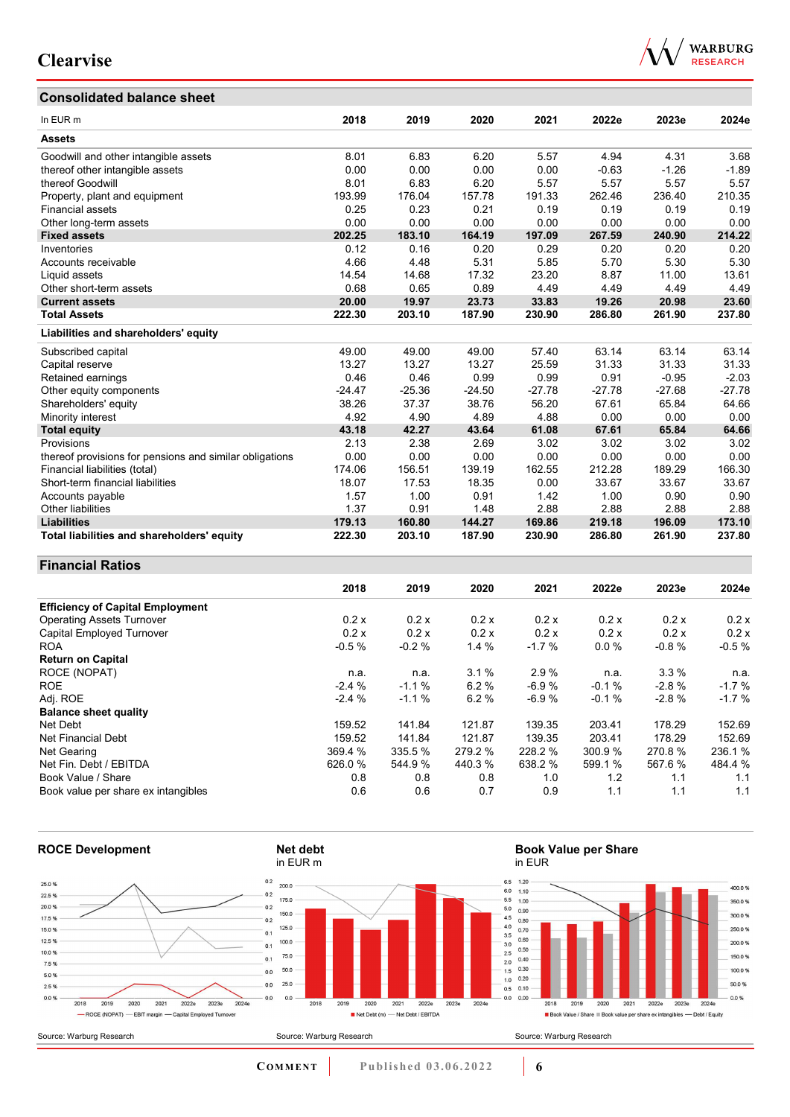## **Consolidated balance sheet**

|  | <b>WARBURG</b><br><b>RESEARCH</b> |
|--|-----------------------------------|
|  |                                   |
|  |                                   |

| In EUR <sub>m</sub>                                     | 2018     | 2019     | 2020     | 2021     | 2022e    | 2023e    | 2024e    |
|---------------------------------------------------------|----------|----------|----------|----------|----------|----------|----------|
| <b>Assets</b>                                           |          |          |          |          |          |          |          |
| Goodwill and other intangible assets                    | 8.01     | 6.83     | 6.20     | 5.57     | 4.94     | 4.31     | 3.68     |
| thereof other intangible assets                         | 0.00     | 0.00     | 0.00     | 0.00     | $-0.63$  | $-1.26$  | $-1.89$  |
| thereof Goodwill                                        | 8.01     | 6.83     | 6.20     | 5.57     | 5.57     | 5.57     | 5.57     |
| Property, plant and equipment                           | 193.99   | 176.04   | 157.78   | 191.33   | 262.46   | 236.40   | 210.35   |
| <b>Financial assets</b>                                 | 0.25     | 0.23     | 0.21     | 0.19     | 0.19     | 0.19     | 0.19     |
| Other long-term assets                                  | 0.00     | 0.00     | 0.00     | 0.00     | 0.00     | 0.00     | 0.00     |
| <b>Fixed assets</b>                                     | 202.25   | 183.10   | 164.19   | 197.09   | 267.59   | 240.90   | 214.22   |
| Inventories                                             | 0.12     | 0.16     | 0.20     | 0.29     | 0.20     | 0.20     | 0.20     |
| Accounts receivable                                     | 4.66     | 4.48     | 5.31     | 5.85     | 5.70     | 5.30     | 5.30     |
| Liquid assets                                           | 14.54    | 14.68    | 17.32    | 23.20    | 8.87     | 11.00    | 13.61    |
| Other short-term assets                                 | 0.68     | 0.65     | 0.89     | 4.49     | 4.49     | 4.49     | 4.49     |
| <b>Current assets</b>                                   | 20.00    | 19.97    | 23.73    | 33.83    | 19.26    | 20.98    | 23.60    |
| <b>Total Assets</b>                                     | 222.30   | 203.10   | 187.90   | 230.90   | 286.80   | 261.90   | 237.80   |
| Liabilities and shareholders' equity                    |          |          |          |          |          |          |          |
| Subscribed capital                                      | 49.00    | 49.00    | 49.00    | 57.40    | 63.14    | 63.14    | 63.14    |
| Capital reserve                                         | 13.27    | 13.27    | 13.27    | 25.59    | 31.33    | 31.33    | 31.33    |
| Retained earnings                                       | 0.46     | 0.46     | 0.99     | 0.99     | 0.91     | $-0.95$  | $-2.03$  |
| Other equity components                                 | $-24.47$ | $-25.36$ | $-24.50$ | $-27.78$ | $-27.78$ | $-27.68$ | $-27.78$ |
| Shareholders' equity                                    | 38.26    | 37.37    | 38.76    | 56.20    | 67.61    | 65.84    | 64.66    |
| Minority interest                                       | 4.92     | 4.90     | 4.89     | 4.88     | 0.00     | 0.00     | 0.00     |
| <b>Total equity</b>                                     | 43.18    | 42.27    | 43.64    | 61.08    | 67.61    | 65.84    | 64.66    |
| Provisions                                              | 2.13     | 2.38     | 2.69     | 3.02     | 3.02     | 3.02     | 3.02     |
| thereof provisions for pensions and similar obligations | 0.00     | 0.00     | 0.00     | 0.00     | 0.00     | 0.00     | 0.00     |
| Financial liabilities (total)                           | 174.06   | 156.51   | 139.19   | 162.55   | 212.28   | 189.29   | 166.30   |
| Short-term financial liabilities                        | 18.07    | 17.53    | 18.35    | 0.00     | 33.67    | 33.67    | 33.67    |
| Accounts payable                                        | 1.57     | 1.00     | 0.91     | 1.42     | 1.00     | 0.90     | 0.90     |
| Other liabilities                                       | 1.37     | 0.91     | 1.48     | 2.88     | 2.88     | 2.88     | 2.88     |
| <b>Liabilities</b>                                      | 179.13   | 160.80   | 144.27   | 169.86   | 219.18   | 196.09   | 173.10   |
| Total liabilities and shareholders' equity              | 222.30   | 203.10   | 187.90   | 230.90   | 286.80   | 261.90   | 237.80   |

### **Financial Ratios**

|                                         | 2018    | 2019    | 2020    | 2021    | 2022e   | 2023e   | 2024e   |
|-----------------------------------------|---------|---------|---------|---------|---------|---------|---------|
| <b>Efficiency of Capital Employment</b> |         |         |         |         |         |         |         |
| <b>Operating Assets Turnover</b>        | 0.2 x   | 0.2 x   | 0.2 x   | 0.2 x   | 0.2 x   | 0.2x    | 0.2 x   |
| Capital Employed Turnover               | 0.2 x   | 0.2 x   | 0.2x    | 0.2 x   | 0.2 x   | 0.2x    | 0.2x    |
| <b>ROA</b>                              | $-0.5%$ | $-0.2%$ | 1.4%    | $-1.7%$ | 0.0%    | $-0.8%$ | $-0.5%$ |
| <b>Return on Capital</b>                |         |         |         |         |         |         |         |
| ROCE (NOPAT)                            | n.a.    | n.a.    | 3.1%    | 2.9%    | n.a.    | 3.3%    | n.a.    |
| <b>ROE</b>                              | $-2.4%$ | $-1.1%$ | 6.2%    | $-6.9%$ | $-0.1%$ | $-2.8%$ | $-1.7%$ |
| Adj. ROE                                | $-2.4%$ | $-1.1%$ | 6.2%    | $-6.9%$ | $-0.1%$ | $-2.8%$ | $-1.7%$ |
| <b>Balance sheet quality</b>            |         |         |         |         |         |         |         |
| Net Debt                                | 159.52  | 141.84  | 121.87  | 139.35  | 203.41  | 178.29  | 152.69  |
| Net Financial Debt                      | 159.52  | 141.84  | 121.87  | 139.35  | 203.41  | 178.29  | 152.69  |
| Net Gearing                             | 369.4 % | 335.5 % | 279.2 % | 228.2 % | 300.9 % | 270.8%  | 236.1%  |
| Net Fin. Debt / EBITDA                  | 626.0 % | 544.9%  | 440.3 % | 638.2 % | 599.1 % | 567.6 % | 484.4 % |
| Book Value / Share                      | 0.8     | 0.8     | 0.8     | 1.0     | 1.2     | 1.1     | 1.1     |
| Book value per share ex intangibles     | 0.6     | 0.6     | 0.7     | 0.9     | 1.1     | 1.1     | 1.1     |



**COMMENT Published 03.06.2022 6**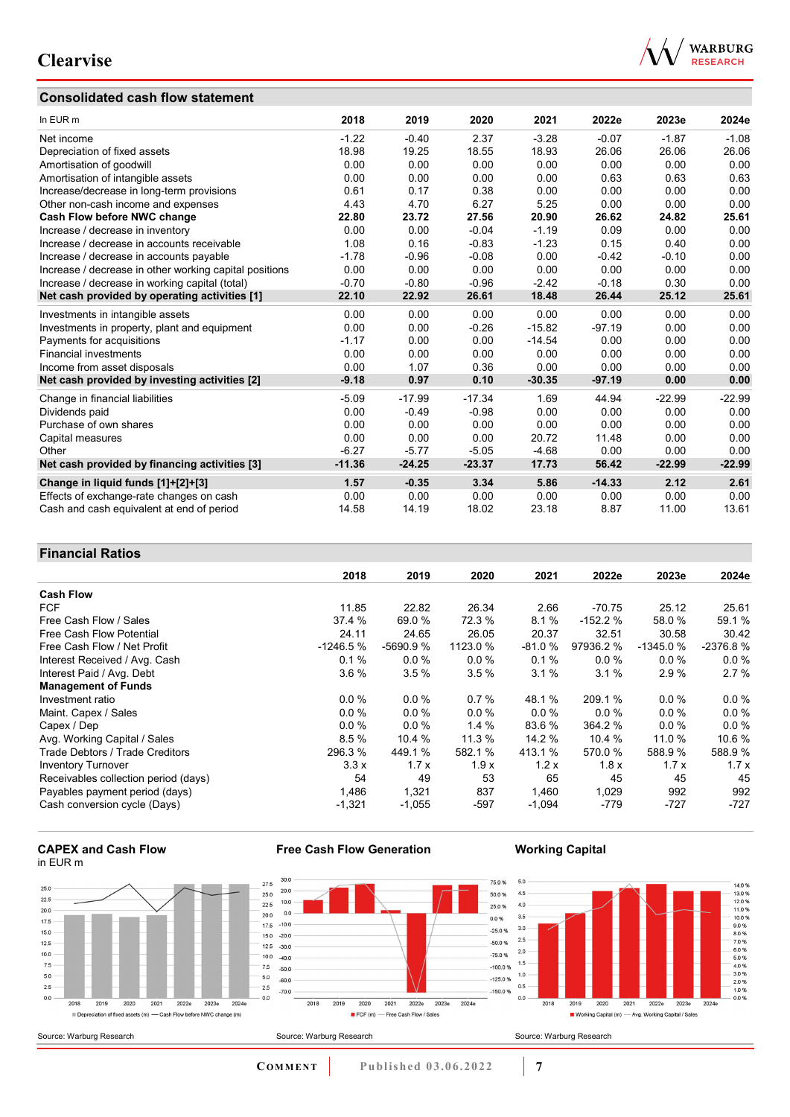## **Consolidated cash flow statement**



| In EUR m                                               | 2018     | 2019     | 2020     | 2021     | 2022e    | 2023e    | 2024e    |
|--------------------------------------------------------|----------|----------|----------|----------|----------|----------|----------|
| Net income                                             | $-1.22$  | $-0.40$  | 2.37     | $-3.28$  | $-0.07$  | $-1.87$  | $-1.08$  |
| Depreciation of fixed assets                           | 18.98    | 19.25    | 18.55    | 18.93    | 26.06    | 26.06    | 26.06    |
| Amortisation of goodwill                               | 0.00     | 0.00     | 0.00     | 0.00     | 0.00     | 0.00     | 0.00     |
| Amortisation of intangible assets                      | 0.00     | 0.00     | 0.00     | 0.00     | 0.63     | 0.63     | 0.63     |
| Increase/decrease in long-term provisions              | 0.61     | 0.17     | 0.38     | 0.00     | 0.00     | 0.00     | 0.00     |
| Other non-cash income and expenses                     | 4.43     | 4.70     | 6.27     | 5.25     | 0.00     | 0.00     | 0.00     |
| Cash Flow before NWC change                            | 22.80    | 23.72    | 27.56    | 20.90    | 26.62    | 24.82    | 25.61    |
| Increase / decrease in inventory                       | 0.00     | 0.00     | $-0.04$  | $-1.19$  | 0.09     | 0.00     | 0.00     |
| Increase / decrease in accounts receivable             | 1.08     | 0.16     | $-0.83$  | $-1.23$  | 0.15     | 0.40     | 0.00     |
| Increase / decrease in accounts payable                | $-1.78$  | $-0.96$  | $-0.08$  | 0.00     | $-0.42$  | $-0.10$  | 0.00     |
| Increase / decrease in other working capital positions | 0.00     | 0.00     | 0.00     | 0.00     | 0.00     | 0.00     | 0.00     |
| Increase / decrease in working capital (total)         | $-0.70$  | $-0.80$  | $-0.96$  | $-2.42$  | $-0.18$  | 0.30     | 0.00     |
| Net cash provided by operating activities [1]          | 22.10    | 22.92    | 26.61    | 18.48    | 26.44    | 25.12    | 25.61    |
| Investments in intangible assets                       | 0.00     | 0.00     | 0.00     | 0.00     | 0.00     | 0.00     | 0.00     |
| Investments in property, plant and equipment           | 0.00     | 0.00     | $-0.26$  | $-15.82$ | $-97.19$ | 0.00     | 0.00     |
| Payments for acquisitions                              | $-1.17$  | 0.00     | 0.00     | $-14.54$ | 0.00     | 0.00     | 0.00     |
| <b>Financial investments</b>                           | 0.00     | 0.00     | 0.00     | 0.00     | 0.00     | 0.00     | 0.00     |
| Income from asset disposals                            | 0.00     | 1.07     | 0.36     | 0.00     | 0.00     | 0.00     | 0.00     |
| Net cash provided by investing activities [2]          | $-9.18$  | 0.97     | 0.10     | $-30.35$ | $-97.19$ | 0.00     | 0.00     |
| Change in financial liabilities                        | $-5.09$  | $-17.99$ | $-17.34$ | 1.69     | 44.94    | $-22.99$ | $-22.99$ |
| Dividends paid                                         | 0.00     | $-0.49$  | $-0.98$  | 0.00     | 0.00     | 0.00     | 0.00     |
| Purchase of own shares                                 | 0.00     | 0.00     | 0.00     | 0.00     | 0.00     | 0.00     | 0.00     |
| Capital measures                                       | 0.00     | 0.00     | 0.00     | 20.72    | 11.48    | 0.00     | 0.00     |
| Other                                                  | $-6.27$  | $-5.77$  | $-5.05$  | $-4.68$  | 0.00     | 0.00     | 0.00     |
| Net cash provided by financing activities [3]          | $-11.36$ | $-24.25$ | $-23.37$ | 17.73    | 56.42    | $-22.99$ | $-22.99$ |
| Change in liquid funds [1]+[2]+[3]                     | 1.57     | $-0.35$  | 3.34     | 5.86     | $-14.33$ | 2.12     | 2.61     |
| Effects of exchange-rate changes on cash               | 0.00     | 0.00     | 0.00     | 0.00     | 0.00     | 0.00     | 0.00     |
| Cash and cash equivalent at end of period              | 14.58    | 14.19    | 18.02    | 23.18    | 8.87     | 11.00    | 13.61    |

### **Financial Ratios**

|                                      | 2018       | 2019       | 2020     | 2021     | 2022e     | 2023e      | 2024e      |
|--------------------------------------|------------|------------|----------|----------|-----------|------------|------------|
| <b>Cash Flow</b>                     |            |            |          |          |           |            |            |
| <b>FCF</b>                           | 11.85      | 22.82      | 26.34    | 2.66     | $-70.75$  | 25.12      | 25.61      |
| Free Cash Flow / Sales               | 37.4 %     | 69.0 %     | 72.3 %   | 8.1%     | $-152.2%$ | 58.0 %     | 59.1 %     |
| Free Cash Flow Potential             | 24.11      | 24.65      | 26.05    | 20.37    | 32.51     | 30.58      | 30.42      |
| Free Cash Flow / Net Profit          | $-1246.5%$ | $-5690.9%$ | 1123.0 % | $-81.0%$ | 97936.2 % | $-1345.0%$ | $-2376.8%$ |
| Interest Received / Avg. Cash        | 0.1%       | 0.0%       | $0.0\%$  | 0.1%     | $0.0\%$   | $0.0\%$    | $0.0\%$    |
| Interest Paid / Avg. Debt            | 3.6%       | 3.5%       | 3.5%     | 3.1%     | 3.1%      | 2.9%       | 2.7%       |
| <b>Management of Funds</b>           |            |            |          |          |           |            |            |
| Investment ratio                     | $0.0\%$    | $0.0\%$    | 0.7%     | 48.1 %   | 209.1 %   | $0.0\%$    | $0.0\%$    |
| Maint. Capex / Sales                 | $0.0 \%$   | 0.0%       | $0.0\%$  | $0.0\%$  | $0.0 \%$  | $0.0\%$    | 0.0%       |
| Capex / Dep                          | $0.0 \%$   | 0.0%       | 1.4%     | 83.6 %   | 364.2 %   | $0.0\%$    | 0.0 %      |
| Avg. Working Capital / Sales         | 8.5%       | 10.4 %     | 11.3 %   | 14.2 %   | 10.4 %    | 11.0%      | 10.6 %     |
| Trade Debtors / Trade Creditors      | 296.3 %    | 449.1 %    | 582.1 %  | 413.1 %  | 570.0 %   | 588.9 %    | 588.9%     |
| <b>Inventory Turnover</b>            | 3.3x       | 1.7x       | 1.9x     | 1.2x     | 1.8x      | 1.7x       | 1.7x       |
| Receivables collection period (days) | 54         | 49         | 53       | 65       | 45        | 45         | 45         |
| Payables payment period (days)       | 1,486      | 1,321      | 837      | 1,460    | 1,029     | 992        | 992        |
| Cash conversion cycle (Days)         | $-1,321$   | $-1,055$   | $-597$   | $-1,094$ | -779      | $-727$     | $-727$     |

#### **CAPEX and Cash Flow** in EUR m



**Free Cash Flow Generation**

### **Working Capital**



**COMMENT** Published 03.06.2022 7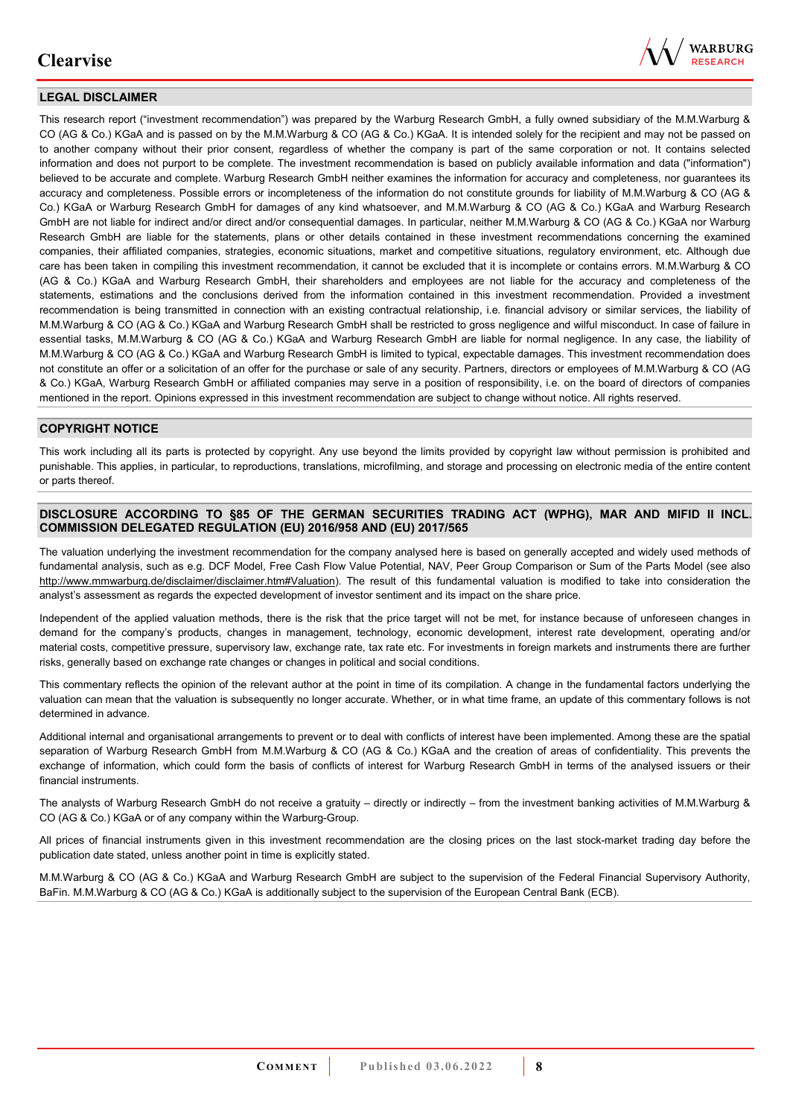

### **LEGAL DISCLAIMER**

This research report ("investment recommendation") was prepared by the Warburg Research GmbH, a fully owned subsidiary of the M.M.Warburg & CO (AG & Co.) KGaA and is passed on by the M.M.Warburg & CO (AG & Co.) KGaA. It is intended solely for the recipient and may not be passed on to another company without their prior consent, regardless of whether the company is part of the same corporation or not. It contains selected information and does not purport to be complete. The investment recommendation is based on publicly available information and data ("information") believed to be accurate and complete. Warburg Research GmbH neither examines the information for accuracy and completeness, nor guarantees its accuracy and completeness. Possible errors or incompleteness of the information do not constitute grounds for liability of M.M.Warburg & CO (AG & Co.) KGaA or Warburg Research GmbH for damages of any kind whatsoever, and M.M.Warburg & CO (AG & Co.) KGaA and Warburg Research GmbH are not liable for indirect and/or direct and/or consequential damages. In particular, neither M.M.Warburg & CO (AG & Co.) KGaA nor Warburg Research GmbH are liable for the statements, plans or other details contained in these investment recommendations concerning the examined companies, their affiliated companies, strategies, economic situations, market and competitive situations, regulatory environment, etc. Although due care has been taken in compiling this investment recommendation, it cannot be excluded that it is incomplete or contains errors. M.M.Warburg & CO (AG & Co.) KGaA and Warburg Research GmbH, their shareholders and employees are not liable for the accuracy and completeness of the statements, estimations and the conclusions derived from the information contained in this investment recommendation. Provided a investment recommendation is being transmitted in connection with an existing contractual relationship, i.e. financial advisory or similar services, the liability of M.M.Warburg & CO (AG & Co.) KGaA and Warburg Research GmbH shall be restricted to gross negligence and wilful misconduct. In case of failure in essential tasks, M.M.Warburg & CO (AG & Co.) KGaA and Warburg Research GmbH are liable for normal negligence. In any case, the liability of M.M.Warburg & CO (AG & Co.) KGaA and Warburg Research GmbH is limited to typical, expectable damages. This investment recommendation does not constitute an offer or a solicitation of an offer for the purchase or sale of any security. Partners, directors or employees of M.M.Warburg & CO (AG & Co.) KGaA, Warburg Research GmbH or affiliated companies may serve in a position of responsibility, i.e. on the board of directors of companies mentioned in the report. Opinions expressed in this investment recommendation are subject to change without notice. All rights reserved.

#### **COPYRIGHT NOTICE**

This work including all its parts is protected by copyright. Any use beyond the limits provided by copyright law without permission is prohibited and punishable. This applies, in particular, to reproductions, translations, microfilming, and storage and processing on electronic media of the entire content or parts thereof.

#### **DISCLOSURE ACCORDING TO §85 OF THE GERMAN SECURITIES TRADING ACT (WPHG), MAR AND MIFID II INCL. COMMISSION DELEGATED REGULATION (EU) 2016/958 AND (EU) 2017/565**

The valuation underlying the investment recommendation for the company analysed here is based on generally accepted and widely used methods of fundamental analysis, such as e.g. DCF Model, Free Cash Flow Value Potential, NAV, Peer Group Comparison or Sum of the Parts Model (see also [http://www.mmwarburg.de/disclaimer/disclaimer.htm#Valuation\)](http://www.mmwarburg.de/disclaimer/disclaimer.htm#Valuation). The result of this fundamental valuation is modified to take into consideration the analyst's assessment as regards the expected development of investor sentiment and its impact on the share price.

Independent of the applied valuation methods, there is the risk that the price target will not be met, for instance because of unforeseen changes in demand for the company's products, changes in management, technology, economic development, interest rate development, operating and/or material costs, competitive pressure, supervisory law, exchange rate, tax rate etc. For investments in foreign markets and instruments there are further risks, generally based on exchange rate changes or changes in political and social conditions.

This commentary reflects the opinion of the relevant author at the point in time of its compilation. A change in the fundamental factors underlying the valuation can mean that the valuation is subsequently no longer accurate. Whether, or in what time frame, an update of this commentary follows is not determined in advance.

Additional internal and organisational arrangements to prevent or to deal with conflicts of interest have been implemented. Among these are the spatial separation of Warburg Research GmbH from M.M.Warburg & CO (AG & Co.) KGaA and the creation of areas of confidentiality. This prevents the exchange of information, which could form the basis of conflicts of interest for Warburg Research GmbH in terms of the analysed issuers or their financial instruments.

The analysts of Warburg Research GmbH do not receive a gratuity – directly or indirectly – from the investment banking activities of M.M.Warburg & CO (AG & Co.) KGaA or of any company within the Warburg-Group.

All prices of financial instruments given in this investment recommendation are the closing prices on the last stock-market trading day before the publication date stated, unless another point in time is explicitly stated.

M.M.Warburg & CO (AG & Co.) KGaA and Warburg Research GmbH are subject to the supervision of the Federal Financial Supervisory Authority, BaFin. M.M.Warburg & CO (AG & Co.) KGaA is additionally subject to the supervision of the European Central Bank (ECB).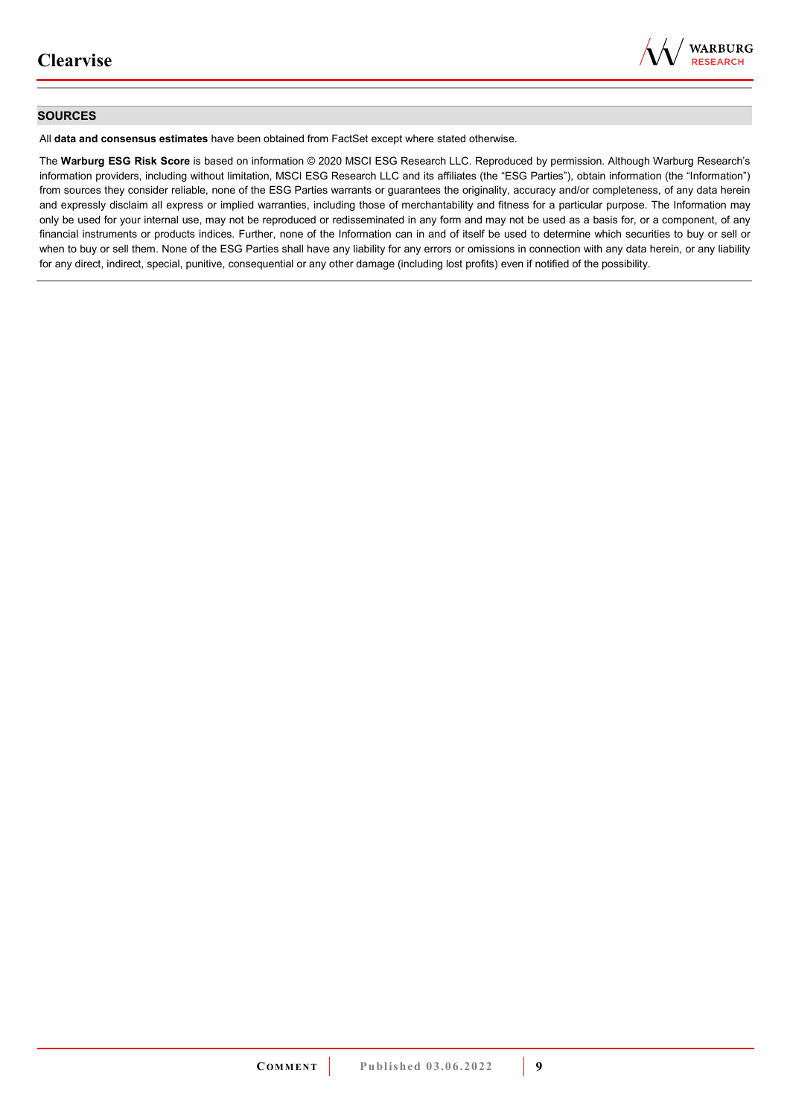

#### **SOURCES**

All **data and consensus estimates** have been obtained from FactSet except where stated otherwise.

The **Warburg ESG Risk Score** is based on information © 2020 MSCI ESG Research LLC. Reproduced by permission. Although Warburg Research's information providers, including without limitation, MSCI ESG Research LLC and its affiliates (the "ESG Parties"), obtain information (the "Information") from sources they consider reliable, none of the ESG Parties warrants or guarantees the originality, accuracy and/or completeness, of any data herein and expressly disclaim all express or implied warranties, including those of merchantability and fitness for a particular purpose. The Information may only be used for your internal use, may not be reproduced or redisseminated in any form and may not be used as a basis for, or a component, of any financial instruments or products indices. Further, none of the Information can in and of itself be used to determine which securities to buy or sell or when to buy or sell them. None of the ESG Parties shall have any liability for any errors or omissions in connection with any data herein, or any liability for any direct, indirect, special, punitive, consequential or any other damage (including lost profits) even if notified of the possibility.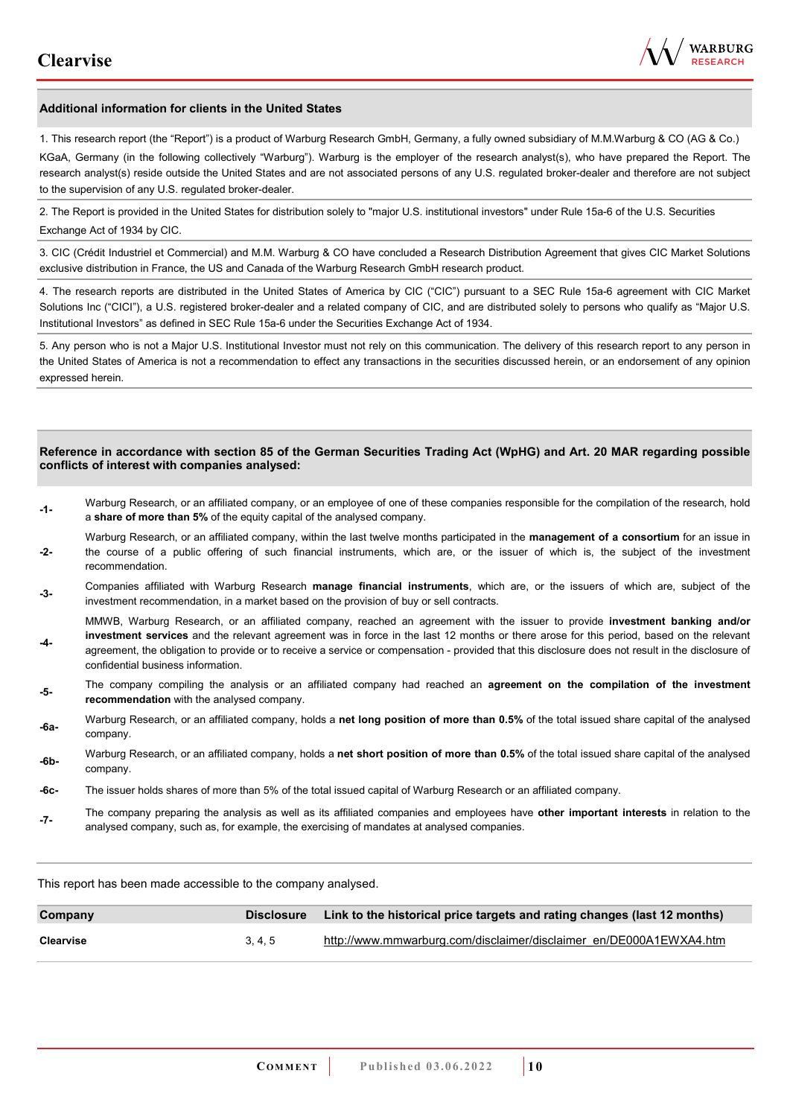

#### **Additional information for clients in the United States**

1. This research report (the "Report") is a product of Warburg Research GmbH, Germany, a fully owned subsidiary of M.M.Warburg & CO (AG & Co.)

KGaA, Germany (in the following collectively "Warburg"). Warburg is the employer of the research analyst(s), who have prepared the Report. The research analyst(s) reside outside the United States and are not associated persons of any U.S. regulated broker-dealer and therefore are not subject to the supervision of any U.S. regulated broker-dealer.

2. The Report is provided in the United States for distribution solely to "major U.S. institutional investors" under Rule 15a-6 of the U.S. Securities Exchange Act of 1934 by CIC.

3. CIC (Crédit Industriel et Commercial) and M.M. Warburg & CO have concluded a Research Distribution Agreement that gives CIC Market Solutions exclusive distribution in France, the US and Canada of the Warburg Research GmbH research product.

4. The research reports are distributed in the United States of America by CIC ("CIC") pursuant to a SEC Rule 15a-6 agreement with CIC Market Solutions Inc ("CICI"), a U.S. registered broker-dealer and a related company of CIC, and are distributed solely to persons who qualify as "Major U.S. Institutional Investors" as defined in SEC Rule 15a-6 under the Securities Exchange Act of 1934.

5. Any person who is not a Major U.S. Institutional Investor must not rely on this communication. The delivery of this research report to any person in the United States of America is not a recommendation to effect any transactions in the securities discussed herein, or an endorsement of any opinion expressed herein.

#### **Reference in accordance with section 85 of the German Securities Trading Act (WpHG) and Art. 20 MAR regarding possible conflicts of interest with companies analysed:**

- **-1-** Warburg Research, or an affiliated company, or an employee of one of these companies responsible for the compilation of the research, hold a **share of more than 5%** of the equity capital of the analysed company.
- **-2-**  Warburg Research, or an affiliated company, within the last twelve months participated in the **management of a consortium** for an issue in the course of a public offering of such financial instruments, which are, or the issuer of which is, the subject of the investment recommendation.
- **-3-** Companies affiliated with Warburg Research **manage financial instruments**, which are, or the issuers of which are, subject of the investment recommendation, in a market based on the provision of buy or sell contracts.

MMWB, Warburg Research, or an affiliated company, reached an agreement with the issuer to provide **investment banking and/or investment services** and the relevant agreement was in force in the last 12 months or there arose for this period, based on the relevant

- **-4**  agreement, the obligation to provide or to receive a service or compensation - provided that this disclosure does not result in the disclosure of confidential business information.
- **-5-** The company compiling the analysis or an affiliated company had reached an **agreement on the compilation of the investment recommendation** with the analysed company.
- **-6a-** Warburg Research, or an affiliated company, holds a **net long position of more than 0.5%** of the total issued share capital of the analysed company.
- **-6b-** Warburg Research, or an affiliated company, holds a **net short position of more than 0.5%** of the total issued share capital of the analysed company.
- **-6c-** The issuer holds shares of more than 5% of the total issued capital of Warburg Research or an affiliated company.
- **-7-** The company preparing the analysis as well as its affiliated companies and employees have **other important interests** in relation to the analysed company, such as, for example, the exercising of mandates at analysed companies.

This report has been made accessible to the company analysed.

| Company   | <b>Disclosure</b> | Link to the historical price targets and rating changes (last 12 months) |
|-----------|-------------------|--------------------------------------------------------------------------|
| Clearvise | 3.4.5             | http://www.mmwarburg.com/disclaimer/disclaimer_en/DE000A1EWXA4.htm       |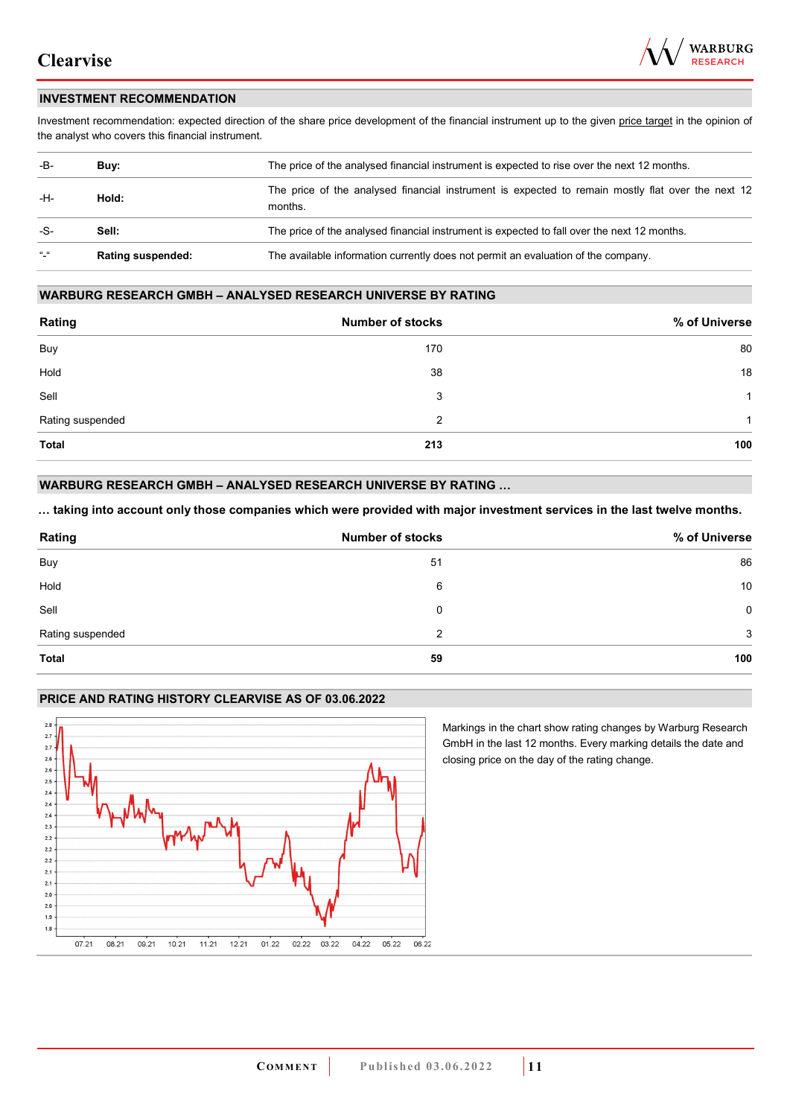

### **INVESTMENT RECOMMENDATION**

Investment recommendation: expected direction of the share price development of the financial instrument up to the given price target in the opinion of the analyst who covers this financial instrument.

| -B-           | Buy:                     | The price of the analysed financial instrument is expected to rise over the next 12 months.                  |
|---------------|--------------------------|--------------------------------------------------------------------------------------------------------------|
| -H-           | Hold:                    | The price of the analysed financial instrument is expected to remain mostly flat over the next 12<br>months. |
| -S-           | Sell:                    | The price of the analysed financial instrument is expected to fall over the next 12 months.                  |
| $\frac{1}{2}$ | <b>Rating suspended:</b> | The available information currently does not permit an evaluation of the company.                            |

#### **WARBURG RESEARCH GMBH – ANALYSED RESEARCH UNIVERSE BY RATING**

| Rating           | <b>Number of stocks</b> | % of Universe |
|------------------|-------------------------|---------------|
| Buy              | 170                     | 80            |
| Hold             | 38                      | 18            |
| Sell             | 3                       | 1             |
| Rating suspended | 2                       | 1             |
| <b>Total</b>     | 213                     | 100           |

### **WARBURG RESEARCH GMBH – ANALYSED RESEARCH UNIVERSE BY RATING …**

**… taking into account only those companies which were provided with major investment services in the last twelve months.** 

| Rating           | <b>Number of stocks</b> | % of Universe |
|------------------|-------------------------|---------------|
| Buy              | 51                      | 86            |
| Hold             | 6                       | 10            |
| Sell             | 0                       | 0             |
| Rating suspended | 2                       | 3             |
| <b>Total</b>     | 59                      | 100           |

### **PRICE AND RATING HISTORY CLEARVISE AS OF 03.06.2022**



Markings in the chart show rating changes by Warburg Research GmbH in the last 12 months. Every marking details the date and closing price on the day of the rating change.